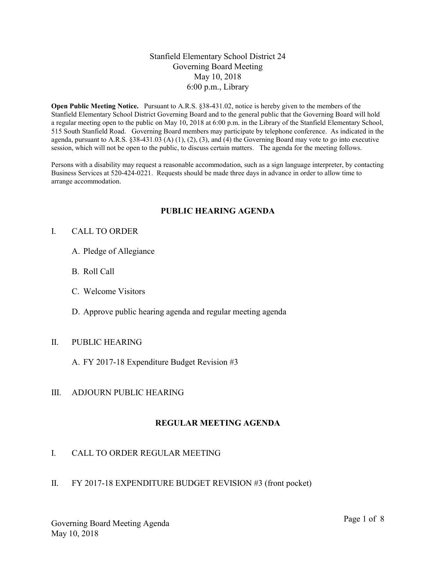## Stanfield Elementary School District 24 Governing Board Meeting May 10, 2018 6:00 p.m., Library

Open Public Meeting Notice. Pursuant to A.R.S. §38-431.02, notice is hereby given to the members of the Stanfield Elementary School District Governing Board and to the general public that the Governing Board will hold a regular meeting open to the public on May 10, 2018 at 6:00 p.m. in the Library of the Stanfield Elementary School, 515 South Stanfield Road. Governing Board members may participate by telephone conference. As indicated in the agenda, pursuant to A.R.S. §38-431.03 (A) (1), (2), (3), and (4) the Governing Board may vote to go into executive session, which will not be open to the public, to discuss certain matters. The agenda for the meeting follows.

Persons with a disability may request a reasonable accommodation, such as a sign language interpreter, by contacting Business Services at 520-424-0221. Requests should be made three days in advance in order to allow time to arrange accommodation.

## PUBLIC HEARING AGENDA

### I. CALL TO ORDER

- A. Pledge of Allegiance
- B. Roll Call
- C. Welcome Visitors
- D. Approve public hearing agenda and regular meeting agenda

#### II. PUBLIC HEARING

A. FY 2017-18 Expenditure Budget Revision #3

#### III. ADJOURN PUBLIC HEARING

#### REGULAR MEETING AGENDA

## I. CALL TO ORDER REGULAR MEETING

II. FY 2017-18 EXPENDITURE BUDGET REVISION #3 (front pocket)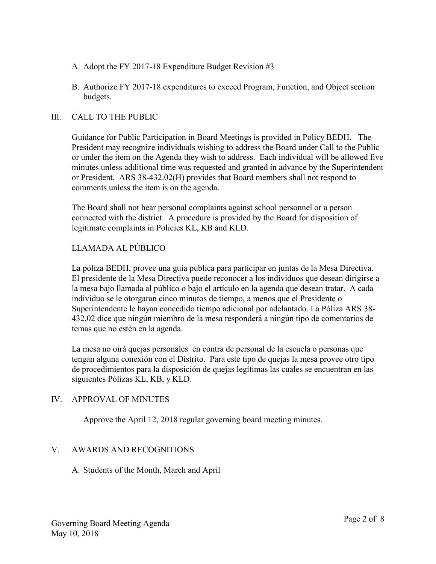- A. Adopt the FY 2017-18 Expenditure Budget Revision #3
- B. Authorize FY 2017-18 expenditures to exceed Program, Function, and Object section budgets.

### III. CALL TO THE PUBLIC

Guidance for Public Participation in Board Meetings is provided in Policy BEDH. The President may recognize individuals wishing to address the Board under Call to the Public or under the item on the Agenda they wish to address. Each individual will be allowed five minutes unless additional time was requested and granted in advance by the Superintendent or President. ARS 38-432.02(H) provides that Board members shall not respond to comments unless the item is on the agenda.

The Board shall not hear personal complaints against school personnel or a person connected with the district. A procedure is provided by the Board for disposition of legitimate complaints in Policies KL, KB and KLD.

# LLAMADA AL PÚBLICO

La póliza BEDH, provee una guía publica para participar en juntas de la Mesa Directiva. El presidente de la Mesa Directiva puede reconocer a los individuos que desean dirigirse a la mesa bajo llamada al público o bajo el artículo en la agenda que desean tratar. A cada individuo se le otorgaran cinco minutos de tiempo, a menos que el Presidente o Superintendente le hayan concedido tiempo adicional por adelantado. La Póliza ARS 38- 432.02 dice que ningún miembro de la mesa responderá a ningún tipo de comentarios de temas que no estén en la agenda.

La mesa no oirá quejas personales en contra de personal de la escuela o personas que tengan alguna conexión con el Distrito. Para este tipo de quejas la mesa provee otro tipo de procedimientos para la disposición de quejas legítimas las cuales se encuentran en las siguientes Pólizas KL, KB, y KLD.

## IV. APPROVAL OF MINUTES

Approve the April 12, 2018 regular governing board meeting minutes.

#### V. AWARDS AND RECOGNITIONS

## A. Students of the Month, March and April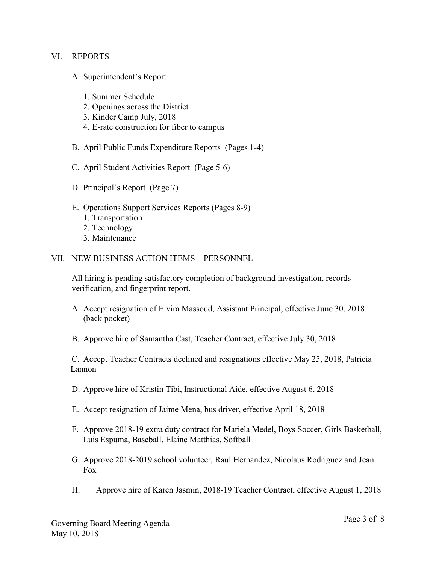#### VI. REPORTS

- A. Superintendent's Report
	- 1. Summer Schedule
	- 2. Openings across the District
	- 3. Kinder Camp July, 2018
	- 4. E-rate construction for fiber to campus
- B. April Public Funds Expenditure Reports (Pages 1-4)
- C. April Student Activities Report (Page 5-6)
- D. Principal's Report (Page 7)
- E. Operations Support Services Reports (Pages 8-9)
	- 1. Transportation
	- 2. Technology
	- 3. Maintenance

#### VII. NEW BUSINESS ACTION ITEMS – PERSONNEL

All hiring is pending satisfactory completion of background investigation, records verification, and fingerprint report.

- A. Accept resignation of Elvira Massoud, Assistant Principal, effective June 30, 2018 (back pocket)
- B. Approve hire of Samantha Cast, Teacher Contract, effective July 30, 2018

C. Accept Teacher Contracts declined and resignations effective May 25, 2018, Patricia Lannon

- D. Approve hire of Kristin Tibi, Instructional Aide, effective August 6, 2018
- E. Accept resignation of Jaime Mena, bus driver, effective April 18, 2018
- F. Approve 2018-19 extra duty contract for Mariela Medel, Boys Soccer, Girls Basketball, Luis Espuma, Baseball, Elaine Matthias, Softball
- G. Approve 2018-2019 school volunteer, Raul Hernandez, Nicolaus Rodriguez and Jean Fox
- H. Approve hire of Karen Jasmin, 2018-19 Teacher Contract, effective August 1, 2018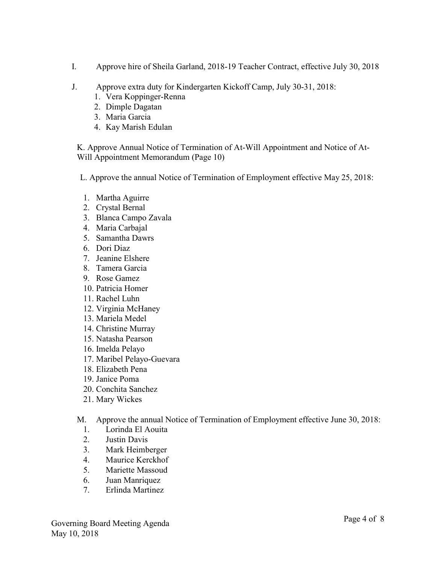- I. Approve hire of Sheila Garland, 2018-19 Teacher Contract, effective July 30, 2018
- J. Approve extra duty for Kindergarten Kickoff Camp, July 30-31, 2018:
	- 1. Vera Koppinger-Renna
	- 2. Dimple Dagatan
	- 3. Maria Garcia
	- 4. Kay Marish Edulan

K. Approve Annual Notice of Termination of At-Will Appointment and Notice of At-Will Appointment Memorandum (Page 10)

L. Approve the annual Notice of Termination of Employment effective May 25, 2018:

- 1. Martha Aguirre
- 2. Crystal Bernal
- 3. Blanca Campo Zavala
- 4. Maria Carbajal
- 5. Samantha Dawrs
- 6. Dori Diaz
- 7. Jeanine Elshere
- 8. Tamera Garcia
- 9. Rose Gamez
- 10. Patricia Homer
- 11. Rachel Luhn
- 12. Virginia McHaney
- 13. Mariela Medel
- 14. Christine Murray
- 15. Natasha Pearson
- 16. Imelda Pelayo
- 17. Maribel Pelayo-Guevara
- 18. Elizabeth Pena
- 19. Janice Poma
- 20. Conchita Sanchez
- 21. Mary Wickes

M. Approve the annual Notice of Termination of Employment effective June 30, 2018:

- 1. Lorinda El Aouita
- 2. Justin Davis
- 3. Mark Heimberger
- 4. Maurice Kerckhof
- 5. Mariette Massoud
- 6. Juan Manriquez
- 7. Erlinda Martinez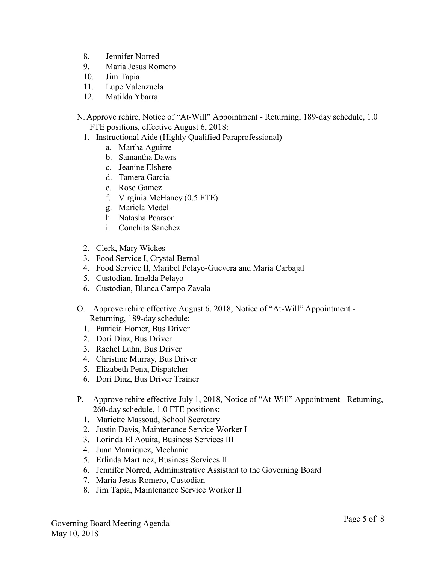- 8. Jennifer Norred
- 9. Maria Jesus Romero
- 10. Jim Tapia
- 11. Lupe Valenzuela
- 12. Matilda Ybarra
- N. Approve rehire, Notice of "At-Will" Appointment Returning, 189-day schedule, 1.0 FTE positions, effective August 6, 2018:
	- 1. Instructional Aide (Highly Qualified Paraprofessional)
		- a. Martha Aguirre
		- b. Samantha Dawrs
		- c. Jeanine Elshere
		- d. Tamera Garcia
		- e. Rose Gamez
		- f. Virginia McHaney (0.5 FTE)
		- g. Mariela Medel
		- h. Natasha Pearson
		- i. Conchita Sanchez
	- 2. Clerk, Mary Wickes
	- 3. Food Service I, Crystal Bernal
	- 4. Food Service II, Maribel Pelayo-Guevera and Maria Carbajal
	- 5. Custodian, Imelda Pelayo
	- 6. Custodian, Blanca Campo Zavala
- O. Approve rehire effective August 6, 2018, Notice of "At-Will" Appointment Returning, 189-day schedule:
	- 1. Patricia Homer, Bus Driver
	- 2. Dori Diaz, Bus Driver
	- 3. Rachel Luhn, Bus Driver
	- 4. Christine Murray, Bus Driver
	- 5. Elizabeth Pena, Dispatcher
	- 6. Dori Diaz, Bus Driver Trainer
- P. Approve rehire effective July 1, 2018, Notice of "At-Will" Appointment Returning, 260-day schedule, 1.0 FTE positions:
	- 1. Mariette Massoud, School Secretary
	- 2. Justin Davis, Maintenance Service Worker I
	- 3. Lorinda El Aouita, Business Services III
	- 4. Juan Manriquez, Mechanic
	- 5. Erlinda Martinez, Business Services II
	- 6. Jennifer Norred, Administrative Assistant to the Governing Board
	- 7. Maria Jesus Romero, Custodian
	- 8. Jim Tapia, Maintenance Service Worker II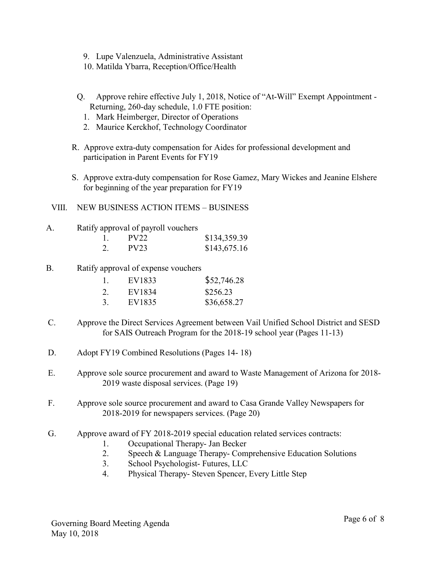- 9. Lupe Valenzuela, Administrative Assistant
- 10. Matilda Ybarra, Reception/Office/Health
- Q. Approve rehire effective July 1, 2018, Notice of "At-Will" Exempt Appointment Returning, 260-day schedule, 1.0 FTE position:
	- 1. Mark Heimberger, Director of Operations
	- 2. Maurice Kerckhof, Technology Coordinator
- R. Approve extra-duty compensation for Aides for professional development and participation in Parent Events for FY19
- S. Approve extra-duty compensation for Rose Gamez, Mary Wickes and Jeanine Elshere for beginning of the year preparation for FY19
- VIII. NEW BUSINESS ACTION ITEMS BUSINESS
- A. Ratify approval of payroll vouchers

|    | <b>PV22</b> | \$134,359.39 |
|----|-------------|--------------|
| 2. | PV23        | \$143,675.16 |

B. Ratify approval of expense vouchers

| 1. | EV1833 | \$52,746.28 |
|----|--------|-------------|
| 2. | EV1834 | \$256.23    |
| 3. | EV1835 | \$36,658.27 |

- C. Approve the Direct Services Agreement between Vail Unified School District and SESD for SAIS Outreach Program for the 2018-19 school year (Pages 11-13)
- D. Adopt FY19 Combined Resolutions (Pages 14- 18)
- E. Approve sole source procurement and award to Waste Management of Arizona for 2018- 2019 waste disposal services. (Page 19)
- F. Approve sole source procurement and award to Casa Grande Valley Newspapers for 2018-2019 for newspapers services. (Page 20)
- G. Approve award of FY 2018-2019 special education related services contracts:
	- 1. Occupational Therapy- Jan Becker
	- 2. Speech & Language Therapy- Comprehensive Education Solutions
	- 3. School Psychologist- Futures, LLC
	- 4. Physical Therapy- Steven Spencer, Every Little Step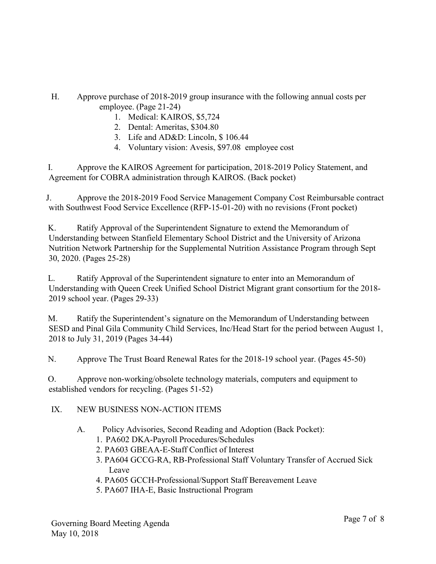- H. Approve purchase of 2018-2019 group insurance with the following annual costs per employee. (Page 21-24)
	- 1. Medical: KAIROS, \$5,724
	- 2. Dental: Ameritas, \$304.80
	- 3. Life and AD&D: Lincoln, \$ 106.44
	- 4. Voluntary vision: Avesis, \$97.08 employee cost

I. Approve the KAIROS Agreement for participation, 2018-2019 Policy Statement, and Agreement for COBRA administration through KAIROS. (Back pocket)

J. Approve the 2018-2019 Food Service Management Company Cost Reimbursable contract with Southwest Food Service Excellence (RFP-15-01-20) with no revisions (Front pocket)

K. Ratify Approval of the Superintendent Signature to extend the Memorandum of Understanding between Stanfield Elementary School District and the University of Arizona Nutrition Network Partnership for the Supplemental Nutrition Assistance Program through Sept 30, 2020. (Pages 25-28)

L. Ratify Approval of the Superintendent signature to enter into an Memorandum of Understanding with Queen Creek Unified School District Migrant grant consortium for the 2018- 2019 school year. (Pages 29-33)

M. Ratify the Superintendent's signature on the Memorandum of Understanding between SESD and Pinal Gila Community Child Services, Inc/Head Start for the period between August 1, 2018 to July 31, 2019 (Pages 34-44)

N. Approve The Trust Board Renewal Rates for the 2018-19 school year. (Pages 45-50)

O. Approve non-working/obsolete technology materials, computers and equipment to established vendors for recycling. (Pages 51-52)

# IX. NEW BUSINESS NON-ACTION ITEMS

- A. Policy Advisories, Second Reading and Adoption (Back Pocket):
	- 1. PA602 DKA-Payroll Procedures/Schedules
	- 2. PA603 GBEAA-E-Staff Conflict of Interest
	- 3. PA604 GCCG-RA, RB-Professional Staff Voluntary Transfer of Accrued Sick Leave
	- 4. PA605 GCCH-Professional/Support Staff Bereavement Leave
	- 5. PA607 IHA-E, Basic Instructional Program